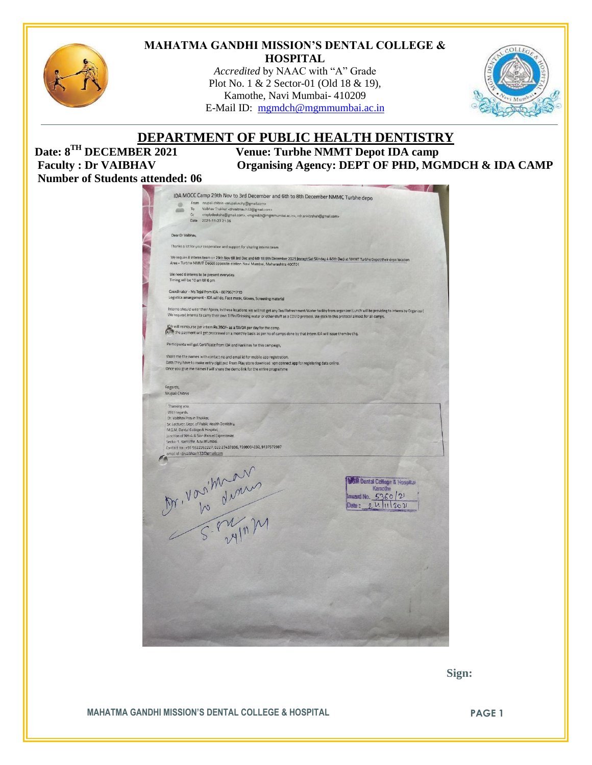

#### **MAHATMA GANDHI MISSION'S DENTAL COLLEGE & HOSPITAL**

*Accredited* by NAAC with "A" Grade Plot No. 1 & 2 Sector-01 (Old 18 & 19), Kamothe, Navi Mumbai- 410209 E-Mail ID: [mgmdch@mgmmumbai.ac.in](mailto:mgmdch@mgmmumbai.ac.in)



# **DEPARTMENT OF PUBLIC HEALTH DENTISTRY**<br>Date: 8<sup>TH</sup> DECEMBER 2021 Venue: Turbhe NMMT Depot IDA camp

**Number of Students attended: 06**

**Venue: Turbhe NMMT Depot IDA camp** Faculty : Dr VAIBHAV Organising Agency: DEPT OF PHD, MGMDCH & IDA CAMP

| From nrupali chitnis <nrupali.nohp@gmail.com><br/>ø<br/>Vaibhav Thakkar <drvaibhav.h32@gmail.com><br/>To<br/>aun<br/>Cc<br/><replydeeksha@gmail.com>, <mgmdch@mgmmumbai.ac.in>, <dr.ankitrshah@gmail.com><br/>Date 2021-11-23 21:36<br/>Dear Dr Valbhav.<br/>Thanks a lot for your cooperation and support for sharing Interns team<br/>We require 8 interns team on 29th Nov till 3rd Dec and 6th till 8th December 2021 (except Sat SUnday 4 &amp;5th Dec) at NMMT Turbhe Depot their depo location<br/>Area - Turbhe NMMT Depot opposite station Navi Mumbai, Maharashtra 400701<br/>We need 8 interns to be present everyday.<br/>Timing will be 10 am till 6 pm<br/>Coordinator - Ms Tejal from IDA - 8879671710<br/>Logistics arrangement - IDA will do, Face mask, Gloves, Screening material<br/>Interns should wear their Apron, In these locations we will not get any Tea/Refreshment/Water facility from organizer (Lunch will be providing to interns by Organizer)<br/>We request Interns to carry their own Tiffin/Drinking water or other stuff as a COVID protocol. We stick to this protocol almost for all camps.<br/>IDA will reimburse per intern Rs.350/- as a TA/DA per day for the camp.<br/>(a.Fo; the payment will get processed on a monthly basis as per no of camps done by that Intern IDA will issue them by chq.<br/>Participants will get Certificate from IDA and Karkinos for this campaign,<br/>share me the names with contact no and email id for mobile app registration.<br/>Data they have to make entry digitized From Play store download vpn connect app for registering data online.<br/>Once you give me names I will share the demo link for the entire programme<br/>Regards,<br/>Nrupali Chitnis<br/>Thanking you.<br/>With regards,<br/>Dr. Vaibhav Pravin Thakkar,<br/>Sr. Lecturer, Dept. of Public Health Dentistry,<br/>M.G.M. Dental College &amp; Hospital,<br/>Junction of NH-4 &amp; Sion Panvel Expressway,<br/>Sector 1. Kamothe, Navi Mumbai.<br/>Contact no: +91 9322262227, 022 27437836, 7208004232, 9137572987<br/>email id : drvaibhav.h32@gmail.com</dr.ankitrshah@gmail.com></mgmdch@mgmmumbai.ac.in></replydeeksha@gmail.com></drvaibhav.h32@gmail.com></nrupali.nohp@gmail.com> |                                        |
|-------------------------------------------------------------------------------------------------------------------------------------------------------------------------------------------------------------------------------------------------------------------------------------------------------------------------------------------------------------------------------------------------------------------------------------------------------------------------------------------------------------------------------------------------------------------------------------------------------------------------------------------------------------------------------------------------------------------------------------------------------------------------------------------------------------------------------------------------------------------------------------------------------------------------------------------------------------------------------------------------------------------------------------------------------------------------------------------------------------------------------------------------------------------------------------------------------------------------------------------------------------------------------------------------------------------------------------------------------------------------------------------------------------------------------------------------------------------------------------------------------------------------------------------------------------------------------------------------------------------------------------------------------------------------------------------------------------------------------------------------------------------------------------------------------------------------------------------------------------------------------------------------------------------------------------------------------------------------------------------------------------------------------------------------------------------------------------------------------------------------------------------------------------------------------------------------------------------------------------------------------|----------------------------------------|
|                                                                                                                                                                                                                                                                                                                                                                                                                                                                                                                                                                                                                                                                                                                                                                                                                                                                                                                                                                                                                                                                                                                                                                                                                                                                                                                                                                                                                                                                                                                                                                                                                                                                                                                                                                                                                                                                                                                                                                                                                                                                                                                                                                                                                                                       |                                        |
|                                                                                                                                                                                                                                                                                                                                                                                                                                                                                                                                                                                                                                                                                                                                                                                                                                                                                                                                                                                                                                                                                                                                                                                                                                                                                                                                                                                                                                                                                                                                                                                                                                                                                                                                                                                                                                                                                                                                                                                                                                                                                                                                                                                                                                                       |                                        |
|                                                                                                                                                                                                                                                                                                                                                                                                                                                                                                                                                                                                                                                                                                                                                                                                                                                                                                                                                                                                                                                                                                                                                                                                                                                                                                                                                                                                                                                                                                                                                                                                                                                                                                                                                                                                                                                                                                                                                                                                                                                                                                                                                                                                                                                       |                                        |
|                                                                                                                                                                                                                                                                                                                                                                                                                                                                                                                                                                                                                                                                                                                                                                                                                                                                                                                                                                                                                                                                                                                                                                                                                                                                                                                                                                                                                                                                                                                                                                                                                                                                                                                                                                                                                                                                                                                                                                                                                                                                                                                                                                                                                                                       |                                        |
|                                                                                                                                                                                                                                                                                                                                                                                                                                                                                                                                                                                                                                                                                                                                                                                                                                                                                                                                                                                                                                                                                                                                                                                                                                                                                                                                                                                                                                                                                                                                                                                                                                                                                                                                                                                                                                                                                                                                                                                                                                                                                                                                                                                                                                                       |                                        |
|                                                                                                                                                                                                                                                                                                                                                                                                                                                                                                                                                                                                                                                                                                                                                                                                                                                                                                                                                                                                                                                                                                                                                                                                                                                                                                                                                                                                                                                                                                                                                                                                                                                                                                                                                                                                                                                                                                                                                                                                                                                                                                                                                                                                                                                       |                                        |
|                                                                                                                                                                                                                                                                                                                                                                                                                                                                                                                                                                                                                                                                                                                                                                                                                                                                                                                                                                                                                                                                                                                                                                                                                                                                                                                                                                                                                                                                                                                                                                                                                                                                                                                                                                                                                                                                                                                                                                                                                                                                                                                                                                                                                                                       |                                        |
|                                                                                                                                                                                                                                                                                                                                                                                                                                                                                                                                                                                                                                                                                                                                                                                                                                                                                                                                                                                                                                                                                                                                                                                                                                                                                                                                                                                                                                                                                                                                                                                                                                                                                                                                                                                                                                                                                                                                                                                                                                                                                                                                                                                                                                                       |                                        |
|                                                                                                                                                                                                                                                                                                                                                                                                                                                                                                                                                                                                                                                                                                                                                                                                                                                                                                                                                                                                                                                                                                                                                                                                                                                                                                                                                                                                                                                                                                                                                                                                                                                                                                                                                                                                                                                                                                                                                                                                                                                                                                                                                                                                                                                       |                                        |
|                                                                                                                                                                                                                                                                                                                                                                                                                                                                                                                                                                                                                                                                                                                                                                                                                                                                                                                                                                                                                                                                                                                                                                                                                                                                                                                                                                                                                                                                                                                                                                                                                                                                                                                                                                                                                                                                                                                                                                                                                                                                                                                                                                                                                                                       |                                        |
|                                                                                                                                                                                                                                                                                                                                                                                                                                                                                                                                                                                                                                                                                                                                                                                                                                                                                                                                                                                                                                                                                                                                                                                                                                                                                                                                                                                                                                                                                                                                                                                                                                                                                                                                                                                                                                                                                                                                                                                                                                                                                                                                                                                                                                                       |                                        |
|                                                                                                                                                                                                                                                                                                                                                                                                                                                                                                                                                                                                                                                                                                                                                                                                                                                                                                                                                                                                                                                                                                                                                                                                                                                                                                                                                                                                                                                                                                                                                                                                                                                                                                                                                                                                                                                                                                                                                                                                                                                                                                                                                                                                                                                       |                                        |
|                                                                                                                                                                                                                                                                                                                                                                                                                                                                                                                                                                                                                                                                                                                                                                                                                                                                                                                                                                                                                                                                                                                                                                                                                                                                                                                                                                                                                                                                                                                                                                                                                                                                                                                                                                                                                                                                                                                                                                                                                                                                                                                                                                                                                                                       |                                        |
|                                                                                                                                                                                                                                                                                                                                                                                                                                                                                                                                                                                                                                                                                                                                                                                                                                                                                                                                                                                                                                                                                                                                                                                                                                                                                                                                                                                                                                                                                                                                                                                                                                                                                                                                                                                                                                                                                                                                                                                                                                                                                                                                                                                                                                                       |                                        |
|                                                                                                                                                                                                                                                                                                                                                                                                                                                                                                                                                                                                                                                                                                                                                                                                                                                                                                                                                                                                                                                                                                                                                                                                                                                                                                                                                                                                                                                                                                                                                                                                                                                                                                                                                                                                                                                                                                                                                                                                                                                                                                                                                                                                                                                       |                                        |
|                                                                                                                                                                                                                                                                                                                                                                                                                                                                                                                                                                                                                                                                                                                                                                                                                                                                                                                                                                                                                                                                                                                                                                                                                                                                                                                                                                                                                                                                                                                                                                                                                                                                                                                                                                                                                                                                                                                                                                                                                                                                                                                                                                                                                                                       |                                        |
|                                                                                                                                                                                                                                                                                                                                                                                                                                                                                                                                                                                                                                                                                                                                                                                                                                                                                                                                                                                                                                                                                                                                                                                                                                                                                                                                                                                                                                                                                                                                                                                                                                                                                                                                                                                                                                                                                                                                                                                                                                                                                                                                                                                                                                                       |                                        |
|                                                                                                                                                                                                                                                                                                                                                                                                                                                                                                                                                                                                                                                                                                                                                                                                                                                                                                                                                                                                                                                                                                                                                                                                                                                                                                                                                                                                                                                                                                                                                                                                                                                                                                                                                                                                                                                                                                                                                                                                                                                                                                                                                                                                                                                       |                                        |
|                                                                                                                                                                                                                                                                                                                                                                                                                                                                                                                                                                                                                                                                                                                                                                                                                                                                                                                                                                                                                                                                                                                                                                                                                                                                                                                                                                                                                                                                                                                                                                                                                                                                                                                                                                                                                                                                                                                                                                                                                                                                                                                                                                                                                                                       |                                        |
|                                                                                                                                                                                                                                                                                                                                                                                                                                                                                                                                                                                                                                                                                                                                                                                                                                                                                                                                                                                                                                                                                                                                                                                                                                                                                                                                                                                                                                                                                                                                                                                                                                                                                                                                                                                                                                                                                                                                                                                                                                                                                                                                                                                                                                                       |                                        |
|                                                                                                                                                                                                                                                                                                                                                                                                                                                                                                                                                                                                                                                                                                                                                                                                                                                                                                                                                                                                                                                                                                                                                                                                                                                                                                                                                                                                                                                                                                                                                                                                                                                                                                                                                                                                                                                                                                                                                                                                                                                                                                                                                                                                                                                       |                                        |
|                                                                                                                                                                                                                                                                                                                                                                                                                                                                                                                                                                                                                                                                                                                                                                                                                                                                                                                                                                                                                                                                                                                                                                                                                                                                                                                                                                                                                                                                                                                                                                                                                                                                                                                                                                                                                                                                                                                                                                                                                                                                                                                                                                                                                                                       |                                        |
|                                                                                                                                                                                                                                                                                                                                                                                                                                                                                                                                                                                                                                                                                                                                                                                                                                                                                                                                                                                                                                                                                                                                                                                                                                                                                                                                                                                                                                                                                                                                                                                                                                                                                                                                                                                                                                                                                                                                                                                                                                                                                                                                                                                                                                                       |                                        |
|                                                                                                                                                                                                                                                                                                                                                                                                                                                                                                                                                                                                                                                                                                                                                                                                                                                                                                                                                                                                                                                                                                                                                                                                                                                                                                                                                                                                                                                                                                                                                                                                                                                                                                                                                                                                                                                                                                                                                                                                                                                                                                                                                                                                                                                       |                                        |
|                                                                                                                                                                                                                                                                                                                                                                                                                                                                                                                                                                                                                                                                                                                                                                                                                                                                                                                                                                                                                                                                                                                                                                                                                                                                                                                                                                                                                                                                                                                                                                                                                                                                                                                                                                                                                                                                                                                                                                                                                                                                                                                                                                                                                                                       |                                        |
|                                                                                                                                                                                                                                                                                                                                                                                                                                                                                                                                                                                                                                                                                                                                                                                                                                                                                                                                                                                                                                                                                                                                                                                                                                                                                                                                                                                                                                                                                                                                                                                                                                                                                                                                                                                                                                                                                                                                                                                                                                                                                                                                                                                                                                                       |                                        |
|                                                                                                                                                                                                                                                                                                                                                                                                                                                                                                                                                                                                                                                                                                                                                                                                                                                                                                                                                                                                                                                                                                                                                                                                                                                                                                                                                                                                                                                                                                                                                                                                                                                                                                                                                                                                                                                                                                                                                                                                                                                                                                                                                                                                                                                       |                                        |
|                                                                                                                                                                                                                                                                                                                                                                                                                                                                                                                                                                                                                                                                                                                                                                                                                                                                                                                                                                                                                                                                                                                                                                                                                                                                                                                                                                                                                                                                                                                                                                                                                                                                                                                                                                                                                                                                                                                                                                                                                                                                                                                                                                                                                                                       |                                        |
|                                                                                                                                                                                                                                                                                                                                                                                                                                                                                                                                                                                                                                                                                                                                                                                                                                                                                                                                                                                                                                                                                                                                                                                                                                                                                                                                                                                                                                                                                                                                                                                                                                                                                                                                                                                                                                                                                                                                                                                                                                                                                                                                                                                                                                                       |                                        |
|                                                                                                                                                                                                                                                                                                                                                                                                                                                                                                                                                                                                                                                                                                                                                                                                                                                                                                                                                                                                                                                                                                                                                                                                                                                                                                                                                                                                                                                                                                                                                                                                                                                                                                                                                                                                                                                                                                                                                                                                                                                                                                                                                                                                                                                       |                                        |
|                                                                                                                                                                                                                                                                                                                                                                                                                                                                                                                                                                                                                                                                                                                                                                                                                                                                                                                                                                                                                                                                                                                                                                                                                                                                                                                                                                                                                                                                                                                                                                                                                                                                                                                                                                                                                                                                                                                                                                                                                                                                                                                                                                                                                                                       |                                        |
|                                                                                                                                                                                                                                                                                                                                                                                                                                                                                                                                                                                                                                                                                                                                                                                                                                                                                                                                                                                                                                                                                                                                                                                                                                                                                                                                                                                                                                                                                                                                                                                                                                                                                                                                                                                                                                                                                                                                                                                                                                                                                                                                                                                                                                                       |                                        |
|                                                                                                                                                                                                                                                                                                                                                                                                                                                                                                                                                                                                                                                                                                                                                                                                                                                                                                                                                                                                                                                                                                                                                                                                                                                                                                                                                                                                                                                                                                                                                                                                                                                                                                                                                                                                                                                                                                                                                                                                                                                                                                                                                                                                                                                       |                                        |
|                                                                                                                                                                                                                                                                                                                                                                                                                                                                                                                                                                                                                                                                                                                                                                                                                                                                                                                                                                                                                                                                                                                                                                                                                                                                                                                                                                                                                                                                                                                                                                                                                                                                                                                                                                                                                                                                                                                                                                                                                                                                                                                                                                                                                                                       | <b>GM Dental College &amp; Hostman</b> |
|                                                                                                                                                                                                                                                                                                                                                                                                                                                                                                                                                                                                                                                                                                                                                                                                                                                                                                                                                                                                                                                                                                                                                                                                                                                                                                                                                                                                                                                                                                                                                                                                                                                                                                                                                                                                                                                                                                                                                                                                                                                                                                                                                                                                                                                       | Kamothe                                |
|                                                                                                                                                                                                                                                                                                                                                                                                                                                                                                                                                                                                                                                                                                                                                                                                                                                                                                                                                                                                                                                                                                                                                                                                                                                                                                                                                                                                                                                                                                                                                                                                                                                                                                                                                                                                                                                                                                                                                                                                                                                                                                                                                                                                                                                       | Invariant No. 5360/21                  |
|                                                                                                                                                                                                                                                                                                                                                                                                                                                                                                                                                                                                                                                                                                                                                                                                                                                                                                                                                                                                                                                                                                                                                                                                                                                                                                                                                                                                                                                                                                                                                                                                                                                                                                                                                                                                                                                                                                                                                                                                                                                                                                                                                                                                                                                       |                                        |
| Dr. Von Mary<br>S. Primar                                                                                                                                                                                                                                                                                                                                                                                                                                                                                                                                                                                                                                                                                                                                                                                                                                                                                                                                                                                                                                                                                                                                                                                                                                                                                                                                                                                                                                                                                                                                                                                                                                                                                                                                                                                                                                                                                                                                                                                                                                                                                                                                                                                                                             | Date: $24 11 2021$                     |
|                                                                                                                                                                                                                                                                                                                                                                                                                                                                                                                                                                                                                                                                                                                                                                                                                                                                                                                                                                                                                                                                                                                                                                                                                                                                                                                                                                                                                                                                                                                                                                                                                                                                                                                                                                                                                                                                                                                                                                                                                                                                                                                                                                                                                                                       |                                        |
|                                                                                                                                                                                                                                                                                                                                                                                                                                                                                                                                                                                                                                                                                                                                                                                                                                                                                                                                                                                                                                                                                                                                                                                                                                                                                                                                                                                                                                                                                                                                                                                                                                                                                                                                                                                                                                                                                                                                                                                                                                                                                                                                                                                                                                                       |                                        |
|                                                                                                                                                                                                                                                                                                                                                                                                                                                                                                                                                                                                                                                                                                                                                                                                                                                                                                                                                                                                                                                                                                                                                                                                                                                                                                                                                                                                                                                                                                                                                                                                                                                                                                                                                                                                                                                                                                                                                                                                                                                                                                                                                                                                                                                       |                                        |
|                                                                                                                                                                                                                                                                                                                                                                                                                                                                                                                                                                                                                                                                                                                                                                                                                                                                                                                                                                                                                                                                                                                                                                                                                                                                                                                                                                                                                                                                                                                                                                                                                                                                                                                                                                                                                                                                                                                                                                                                                                                                                                                                                                                                                                                       |                                        |
|                                                                                                                                                                                                                                                                                                                                                                                                                                                                                                                                                                                                                                                                                                                                                                                                                                                                                                                                                                                                                                                                                                                                                                                                                                                                                                                                                                                                                                                                                                                                                                                                                                                                                                                                                                                                                                                                                                                                                                                                                                                                                                                                                                                                                                                       |                                        |
|                                                                                                                                                                                                                                                                                                                                                                                                                                                                                                                                                                                                                                                                                                                                                                                                                                                                                                                                                                                                                                                                                                                                                                                                                                                                                                                                                                                                                                                                                                                                                                                                                                                                                                                                                                                                                                                                                                                                                                                                                                                                                                                                                                                                                                                       |                                        |
|                                                                                                                                                                                                                                                                                                                                                                                                                                                                                                                                                                                                                                                                                                                                                                                                                                                                                                                                                                                                                                                                                                                                                                                                                                                                                                                                                                                                                                                                                                                                                                                                                                                                                                                                                                                                                                                                                                                                                                                                                                                                                                                                                                                                                                                       |                                        |
|                                                                                                                                                                                                                                                                                                                                                                                                                                                                                                                                                                                                                                                                                                                                                                                                                                                                                                                                                                                                                                                                                                                                                                                                                                                                                                                                                                                                                                                                                                                                                                                                                                                                                                                                                                                                                                                                                                                                                                                                                                                                                                                                                                                                                                                       |                                        |
|                                                                                                                                                                                                                                                                                                                                                                                                                                                                                                                                                                                                                                                                                                                                                                                                                                                                                                                                                                                                                                                                                                                                                                                                                                                                                                                                                                                                                                                                                                                                                                                                                                                                                                                                                                                                                                                                                                                                                                                                                                                                                                                                                                                                                                                       |                                        |
|                                                                                                                                                                                                                                                                                                                                                                                                                                                                                                                                                                                                                                                                                                                                                                                                                                                                                                                                                                                                                                                                                                                                                                                                                                                                                                                                                                                                                                                                                                                                                                                                                                                                                                                                                                                                                                                                                                                                                                                                                                                                                                                                                                                                                                                       |                                        |
|                                                                                                                                                                                                                                                                                                                                                                                                                                                                                                                                                                                                                                                                                                                                                                                                                                                                                                                                                                                                                                                                                                                                                                                                                                                                                                                                                                                                                                                                                                                                                                                                                                                                                                                                                                                                                                                                                                                                                                                                                                                                                                                                                                                                                                                       |                                        |
|                                                                                                                                                                                                                                                                                                                                                                                                                                                                                                                                                                                                                                                                                                                                                                                                                                                                                                                                                                                                                                                                                                                                                                                                                                                                                                                                                                                                                                                                                                                                                                                                                                                                                                                                                                                                                                                                                                                                                                                                                                                                                                                                                                                                                                                       |                                        |
|                                                                                                                                                                                                                                                                                                                                                                                                                                                                                                                                                                                                                                                                                                                                                                                                                                                                                                                                                                                                                                                                                                                                                                                                                                                                                                                                                                                                                                                                                                                                                                                                                                                                                                                                                                                                                                                                                                                                                                                                                                                                                                                                                                                                                                                       |                                        |
|                                                                                                                                                                                                                                                                                                                                                                                                                                                                                                                                                                                                                                                                                                                                                                                                                                                                                                                                                                                                                                                                                                                                                                                                                                                                                                                                                                                                                                                                                                                                                                                                                                                                                                                                                                                                                                                                                                                                                                                                                                                                                                                                                                                                                                                       |                                        |
|                                                                                                                                                                                                                                                                                                                                                                                                                                                                                                                                                                                                                                                                                                                                                                                                                                                                                                                                                                                                                                                                                                                                                                                                                                                                                                                                                                                                                                                                                                                                                                                                                                                                                                                                                                                                                                                                                                                                                                                                                                                                                                                                                                                                                                                       |                                        |

 **Sign:**

**MAHATMA GANDHI MISSION'S DENTAL COLLEGE & HOSPITAL PAGE 1**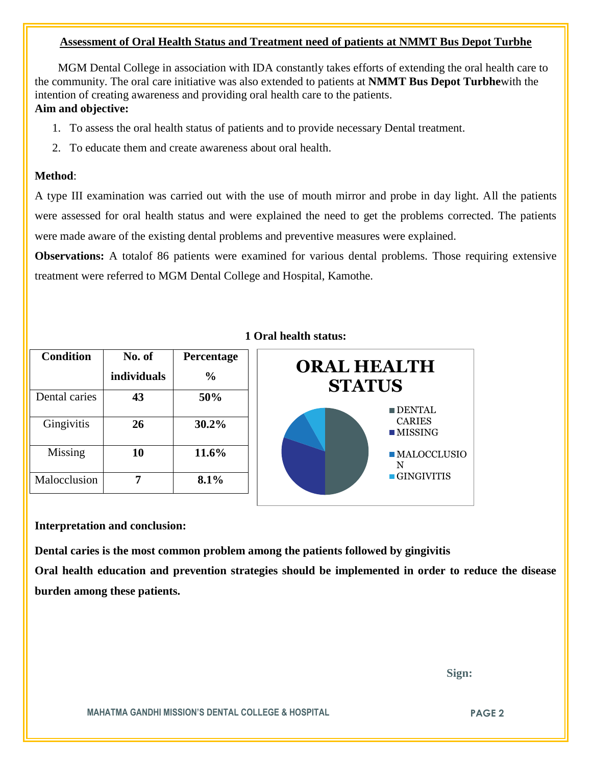#### **Assessment of Oral Health Status and Treatment need of patients at NMMT Bus Depot Turbhe**

 MGM Dental College in association with IDA constantly takes efforts of extending the oral health care to the community. The oral care initiative was also extended to patients at **NMMT Bus Depot Turbhe**with the intention of creating awareness and providing oral health care to the patients. **Aim and objective:** 

- 1. To assess the oral health status of patients and to provide necessary Dental treatment.
- 2. To educate them and create awareness about oral health.

#### **Method**:

A type III examination was carried out with the use of mouth mirror and probe in day light. All the patients were assessed for oral health status and were explained the need to get the problems corrected. The patients were made aware of the existing dental problems and preventive measures were explained.

**Observations:** A totalof 86 patients were examined for various dental problems. Those requiring extensive treatment were referred to MGM Dental College and Hospital, Kamothe.

| <b>Condition</b> | No. of             | Percentage    |
|------------------|--------------------|---------------|
|                  | <i>individuals</i> | $\frac{0}{0}$ |
| Dental caries    | 43                 | 50%           |
| Gingivitis       | 26                 | 30.2%         |
| Missing          | 10                 | 11.6%         |
| Malocclusion     |                    | 8.1%          |

### **1 Oral health status:**



#### **Interpretation and conclusion:**

**Dental caries is the most common problem among the patients followed by gingivitis Oral health education and prevention strategies should be implemented in order to reduce the disease burden among these patients.**

 **Sign:**

**MAHATMA GANDHI MISSION'S DENTAL COLLEGE & HOSPITAL PAGE 2**